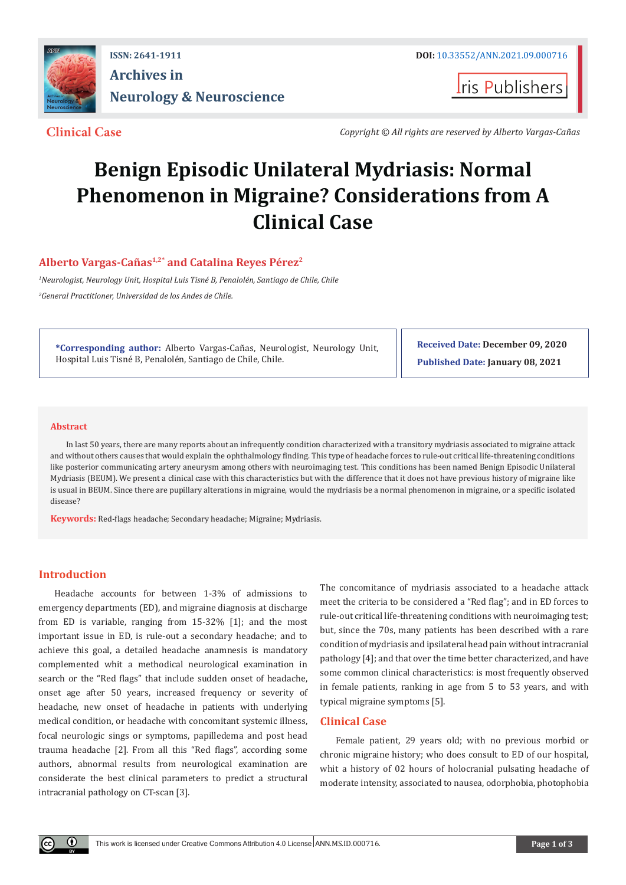

## **ISSN: 2641-1911 DOI:** [10.33552/ANN.2021.09.000716](http://dx.doi.org/10.33552/ANN.2021.09.000716) **Archives in Neurology & Neuroscience**

**I**ris Publishers

**Clinical Case** *Copyright © All rights are reserved by Alberto Vargas-Cañas*

# **Benign Episodic Unilateral Mydriasis: Normal Phenomenon in Migraine? Considerations from A Clinical Case**

### **Alberto Vargas-Cañas1,2\* and Catalina Reyes Pérez2**

*1 Neurologist, Neurology Unit, Hospital Luis Tisné B, Penalolén, Santiago de Chile, Chile 2 General Practitioner, Universidad de los Andes de Chile.*

**\*Corresponding author:** Alberto Vargas-Cañas, Neurologist, Neurology Unit, Hospital Luis Tisné B, Penalolén, Santiago de Chile, Chile.

**Received Date: December 09, 2020 Published Date: January 08, 2021**

#### **Abstract**

In last 50 years, there are many reports about an infrequently condition characterized with a transitory mydriasis associated to migraine attack and without others causes that would explain the ophthalmology finding. This type of headache forces to rule-out critical life-threatening conditions like posterior communicating artery aneurysm among others with neuroimaging test. This conditions has been named Benign Episodic Unilateral Mydriasis (BEUM). We present a clinical case with this characteristics but with the difference that it does not have previous history of migraine like is usual in BEUM. Since there are pupillary alterations in migraine, would the mydriasis be a normal phenomenon in migraine, or a specific isolated disease?

**Keywords:** Red-flags headache; Secondary headache; Migraine; Mydriasis.

#### **Introduction**

 $\odot$ 

Headache accounts for between 1-3% of admissions to emergency departments (ED), and migraine diagnosis at discharge from ED is variable, ranging from 15-32% [1]; and the most important issue in ED, is rule-out a secondary headache; and to achieve this goal, a detailed headache anamnesis is mandatory complemented whit a methodical neurological examination in search or the "Red flags" that include sudden onset of headache, onset age after 50 years, increased frequency or severity of headache, new onset of headache in patients with underlying medical condition, or headache with concomitant systemic illness, focal neurologic sings or symptoms, papilledema and post head trauma headache [2]. From all this "Red flags", according some authors, abnormal results from neurological examination are considerate the best clinical parameters to predict a structural intracranial pathology on CT-scan [3].

The concomitance of mydriasis associated to a headache attack meet the criteria to be considered a "Red flag"; and in ED forces to rule-out critical life-threatening conditions with neuroimaging test; but, since the 70s, many patients has been described with a rare condition of mydriasis and ipsilateral head pain without intracranial pathology [4]; and that over the time better characterized, and have some common clinical characteristics: is most frequently observed in female patients, ranking in age from 5 to 53 years, and with typical migraine symptoms [5].

#### **Clinical Case**

Female patient, 29 years old; with no previous morbid or chronic migraine history; who does consult to ED of our hospital, whit a history of 02 hours of holocranial pulsating headache of moderate intensity, associated to nausea, odorphobia, photophobia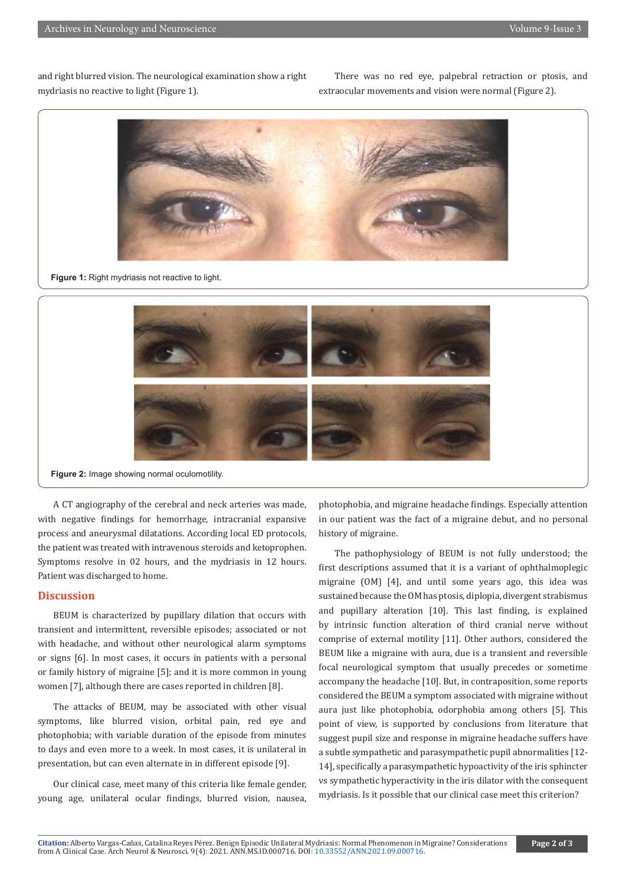and right blurred vision. The neurological examination show a right mydriasis no reactive to light (Figure 1).

There was no red eye, palpebral retraction or ptosis, and extraocular movements and vision were normal (Figure 2).



**Figure 1:** Right mydriasis not reactive to light.



**Figure 2:** Image showing normal oculomotility.

A CT angiography of the cerebral and neck arteries was made, with negative findings for hemorrhage, intracranial expansive process and aneurysmal dilatations. According local ED protocols, the patient was treated with intravenous steroids and ketoprophen. Symptoms resolve in 02 hours, and the mydriasis in 12 hours. Patient was discharged to home.

#### **Discussion**

BEUM is characterized by pupillary dilation that occurs with transient and intermittent, reversible episodes; associated or not with headache, and without other neurological alarm symptoms or signs [6]. In most cases, it occurs in patients with a personal or family history of migraine [5]; and it is more common in young women [7], although there are cases reported in children [8].

The attacks of BEUM, may be associated with other visual symptoms, like blurred vision, orbital pain, red eye and photophobia; with variable duration of the episode from minutes to days and even more to a week. In most cases, it is unilateral in presentation, but can even alternate in in different episode [9].

Our clinical case, meet many of this criteria like female gender, young age, unilateral ocular findings, blurred vision, nausea, photophobia, and migraine headache findings. Especially attention in our patient was the fact of a migraine debut, and no personal history of migraine.

The pathophysiology of BEUM is not fully understood; the first descriptions assumed that it is a variant of ophthalmoplegic migraine (OM) [4], and until some years ago, this idea was sustained because the OM has ptosis, diplopia, divergent strabismus and pupillary alteration [10]. This last finding, is explained by intrinsic function alteration of third cranial nerve without comprise of external motility [11]. Other authors, considered the BEUM like a migraine with aura, due is a transient and reversible focal neurological symptom that usually precedes or sometime accompany the headache [10]. But, in contraposition, some reports considered the BEUM a symptom associated with migraine without aura just like photophobia, odorphobia among others [5]. This point of view, is supported by conclusions from literature that suggest pupil size and response in migraine headache suffers have a subtle sympathetic and parasympathetic pupil abnormalities [12- 14], specifically a parasympathetic hypoactivity of the iris sphincter vs sympathetic hyperactivity in the iris dilator with the consequent mydriasis. Is it possible that our clinical case meet this criterion?